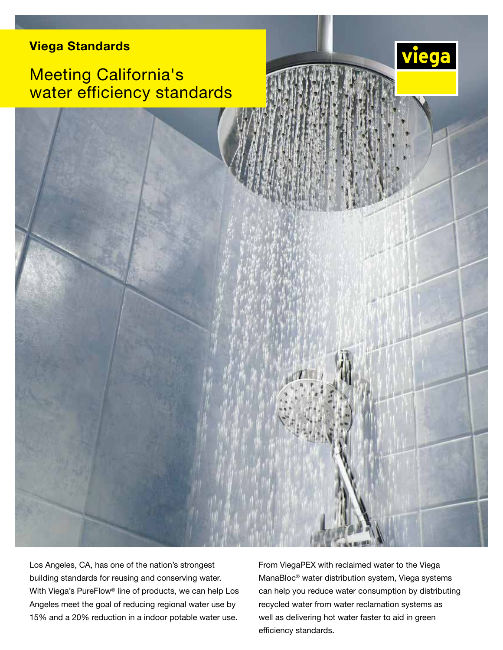### Viega Standards

# Meeting California's water efficiency standards





From ViegaPEX with reclaimed water to the Viega ManaBloc® water distribution system, Viega systems can help you reduce water consumption by distributing recycled water from water reclamation systems as well as delivering hot water faster to aid in green efficiency standards.